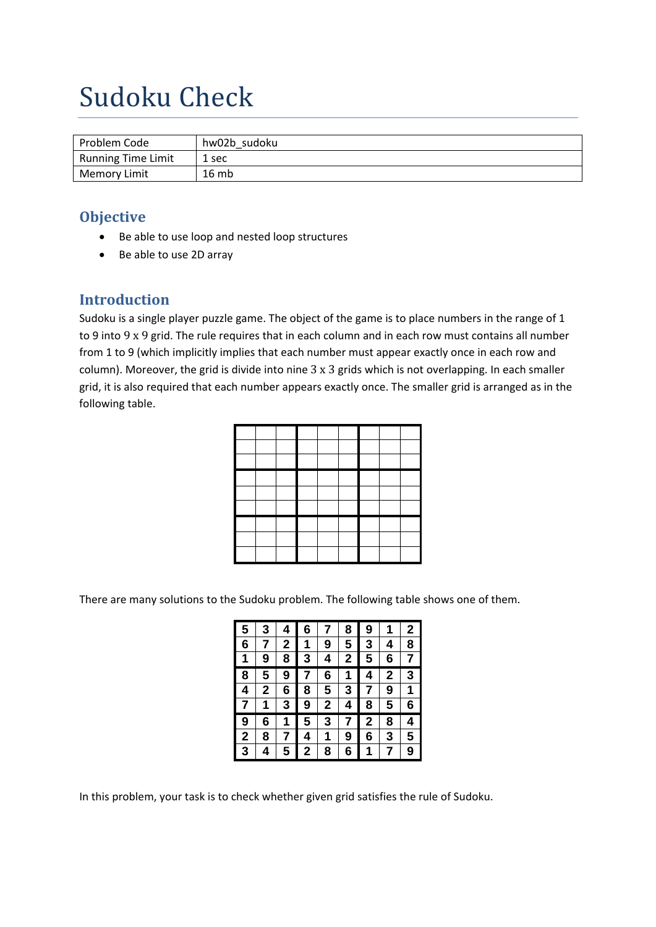# Sudoku Check

| Problem Code        | hw02b sudoku |
|---------------------|--------------|
| Running Time Limit  | . sec        |
| <b>Memory Limit</b> | 16mb         |

### **Objective**

- Be able to use loop and nested loop structures
- Be able to use 2D array

#### **Introduction**

Sudoku is a single player puzzle game. The object of the game is to place numbers in the range of 1 to 9 into 9 x 9 grid. The rule requires that in each column and in each row must contains all number from 1 to 9 (which implicitly implies that each number must appear exactly once in each row and column). Moreover, the grid is divide into nine 3 x 3 grids which is not overlapping. In each smaller grid, it is also required that each number appears exactly once. The smaller grid is arranged as in the following table.

There are many solutions to the Sudoku problem. The following table shows one of them.

| 5 | 3 | 4 | 6 | 7                       | 8              | 9 | 1           | $\overline{2}$ |
|---|---|---|---|-------------------------|----------------|---|-------------|----------------|
| 6 |   | 2 | 1 | 9                       | 5              | 3 | 4           | 8              |
| 1 | 9 | 8 | 3 | 4                       | $\overline{2}$ | 5 | 6           | 7              |
| 8 | 5 | 9 |   | 6                       | 1              | 4 | $\mathbf 2$ | 3              |
| 4 | 2 | 6 | 8 | 5                       | 3              | 7 | 9           | 1              |
| 7 | 1 | 3 | 9 | $\overline{\mathbf{c}}$ | 4              | 8 | 5           | 6              |
| 9 | 6 | 1 | 5 | 3                       | 7              | 2 | 8           | 4              |
| 2 | 8 |   | 4 | 1                       | 9              | 6 | 3           | 5              |
| 3 | 4 | 5 | 2 | 8                       | 6              | 1 | 7           | 9              |

In this problem, your task is to check whether given grid satisfies the rule of Sudoku.